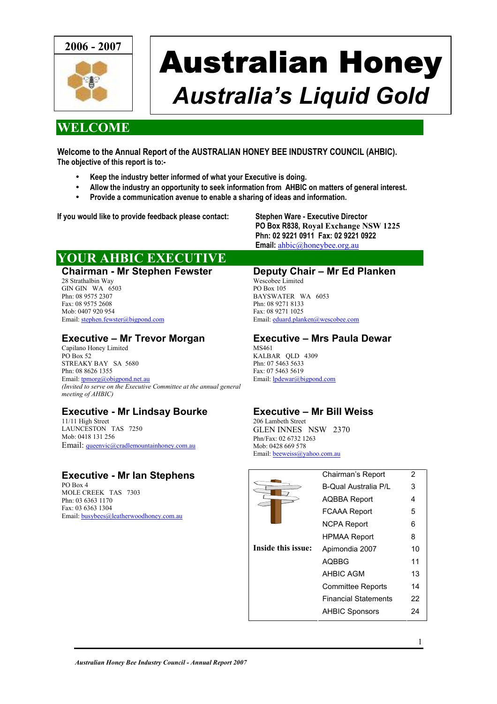

# Australian Honey *Australia's Liquid Gold*

#### **WELCOME**

**Welcome to the Annual Report of the AUSTRALIAN HONEY BEE INDUSTRY COUNCIL (AHBIC). The objective of this report is to:-** 

- **Keep the industry better informed of what your Executive is doing.**
- **Allow the industry an opportunity to seek information from AHBIC on matters of general interest.**
- **Provide a communication avenue to enable a sharing of ideas and information.**

**If you would like to provide feedback please contact: Stephen Ware - Executive Director** 

**PO Box R838, Royal Exchange NSW 1225 Phn: 02 9221 0911 Fax: 02 9221 0922 Email:** [ahbic@honeybee.org.au](mailto:ahbic@honeybee.org.au)

### **YOUR AHBIC EXECUTIVE**

**Chairman - Mr Stephen Fewster** 28 Strathalbin Way GIN GIN WA 6503 Phn: 08 9575 2307 Fax: 08 9575 2608 Mob: 0407 920 954 Email: [stephen.fewster@bigpond.com](mailto:stephen.fewster@bigpond.com)

#### **Executive – Mr Trevor Morgan**

Capilano Honey Limited PO Box 52 STREAKY BAY SA 5680 Phn: 08 8626 1355 Email: [tpmorg@obigpond.net.au](mailto:tpmorg@obigpond.net.au) *(Invited to serve on the Executive Committee at the annual general meeting of AHBIC)* 

#### **Executive - Mr Lindsay Bourke**

11/11 High Street LAUNCESTON TAS 7250 Mob: 0418 131 256 Email: [queenvic@cradlemountainhoney.com.au](mailto:queenvic@cradlemountainhoney.com.au)

#### **Executive - Mr Ian Stephens**

PO Box 4 MOLE CREEK TAS 7303 Phn: 03 6363 1170 Fax: 03 6363 1304 Email: [busybees@leatherwoodhoney.com.au](mailto:k.l.honeybee@microtech.com.au)

#### **Deputy Chair – Mr Ed Planken**

Wescobee Limited PO Box 105 BAYSWATER WA 6053 Phn: 08 9271 8133 Fax: 08 9271 1025 Email: [eduard.planken@wescobee.com](mailto:eduard.planken@wescobee.com)

#### **Executive – Mrs Paula Dewar**  MS461

KALBAR QLD 4309 Phn: 07 5463 5633 Fax: 07 5463 5619 Email: **lpdewar**@bigpond.com

#### **Executive – Mr Bill Weiss**

206 Lambeth Street GLEN INNES NSW 2370 Phn/Fax: 02 6732 1263 Mob: 0428 669 578 Email: [beeweiss@yahoo.com.au](mailto:beeweiss@yahoo.com.au)

|                    | Chairman's Report           | 2  |
|--------------------|-----------------------------|----|
|                    | <b>B-Qual Australia P/L</b> | 3  |
|                    | <b>AQBBA Report</b>         | 4  |
|                    | <b>FCAAA Report</b>         | 5  |
|                    | <b>NCPA Report</b>          | 6  |
|                    | <b>HPMAA Report</b>         | 8  |
| Inside this issue: | Apimondia 2007              | 10 |
|                    | <b>AOBBG</b>                | 11 |
|                    | <b>AHBIC AGM</b>            | 13 |
|                    | <b>Committee Reports</b>    | 14 |
|                    | <b>Financial Statements</b> | 22 |
|                    | <b>AHBIC Sponsors</b>       | 24 |
|                    |                             |    |

1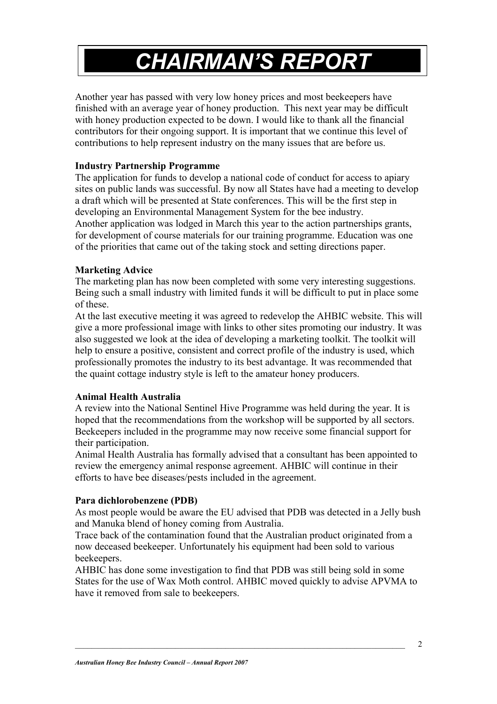## *CHAIRMAN'S REPORT*

Another year has passed with very low honey prices and most beekeepers have finished with an average year of honey production. This next year may be difficult with honey production expected to be down. I would like to thank all the financial contributors for their ongoing support. It is important that we continue this level of contributions to help represent industry on the many issues that are before us.

#### **Industry Partnership Programme**

The application for funds to develop a national code of conduct for access to apiary sites on public lands was successful. By now all States have had a meeting to develop a draft which will be presented at State conferences. This will be the first step in developing an Environmental Management System for the bee industry. Another application was lodged in March this year to the action partnerships grants, for development of course materials for our training programme. Education was one of the priorities that came out of the taking stock and setting directions paper.

#### **Marketing Advice**

The marketing plan has now been completed with some very interesting suggestions. Being such a small industry with limited funds it will be difficult to put in place some of these.

At the last executive meeting it was agreed to redevelop the AHBIC website. This will give a more professional image with links to other sites promoting our industry. It was also suggested we look at the idea of developing a marketing toolkit. The toolkit will help to ensure a positive, consistent and correct profile of the industry is used, which professionally promotes the industry to its best advantage. It was recommended that the quaint cottage industry style is left to the amateur honey producers.

#### **Animal Health Australia**

A review into the National Sentinel Hive Programme was held during the year. It is hoped that the recommendations from the workshop will be supported by all sectors. Beekeepers included in the programme may now receive some financial support for their participation.

Animal Health Australia has formally advised that a consultant has been appointed to review the emergency animal response agreement. AHBIC will continue in their efforts to have bee diseases/pests included in the agreement.

#### **Para dichlorobenzene (PDB)**

As most people would be aware the EU advised that PDB was detected in a Jelly bush and Manuka blend of honey coming from Australia.

Trace back of the contamination found that the Australian product originated from a now deceased beekeeper. Unfortunately his equipment had been sold to various beekeepers.

AHBIC has done some investigation to find that PDB was still being sold in some States for the use of Wax Moth control. AHBIC moved quickly to advise APVMA to have it removed from sale to beekeepers.

2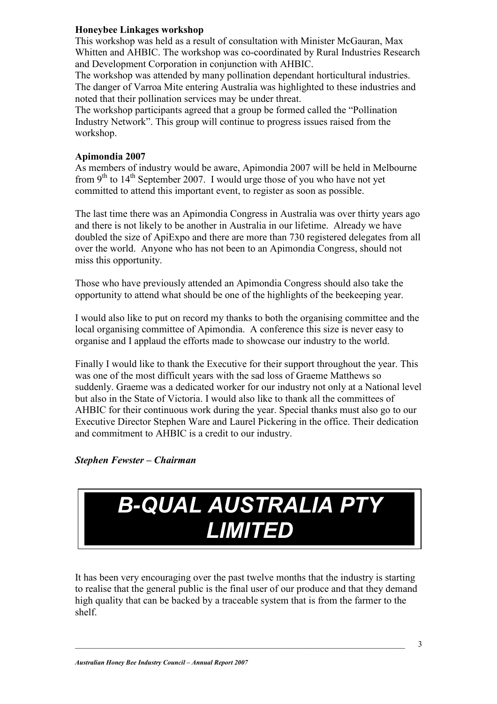#### **Honeybee Linkages workshop**

This workshop was held as a result of consultation with Minister McGauran, Max Whitten and AHBIC. The workshop was co-coordinated by Rural Industries Research and Development Corporation in conjunction with AHBIC.

The workshop was attended by many pollination dependant horticultural industries. The danger of Varroa Mite entering Australia was highlighted to these industries and noted that their pollination services may be under threat.

The workshop participants agreed that a group be formed called the "Pollination Industry Network". This group will continue to progress issues raised from the workshop.

#### **Apimondia 2007**

As members of industry would be aware, Apimondia 2007 will be held in Melbourne from  $9<sup>th</sup>$  to  $14<sup>th</sup>$  September 2007. I would urge those of you who have not yet committed to attend this important event, to register as soon as possible.

The last time there was an Apimondia Congress in Australia was over thirty years ago and there is not likely to be another in Australia in our lifetime. Already we have doubled the size of ApiExpo and there are more than 730 registered delegates from all over the world. Anyone who has not been to an Apimondia Congress, should not miss this opportunity.

Those who have previously attended an Apimondia Congress should also take the opportunity to attend what should be one of the highlights of the beekeeping year.

I would also like to put on record my thanks to both the organising committee and the local organising committee of Apimondia. A conference this size is never easy to organise and I applaud the efforts made to showcase our industry to the world.

Finally I would like to thank the Executive for their support throughout the year. This was one of the most difficult years with the sad loss of Graeme Matthews so suddenly. Graeme was a dedicated worker for our industry not only at a National level but also in the State of Victoria. I would also like to thank all the committees of AHBIC for their continuous work during the year. Special thanks must also go to our Executive Director Stephen Ware and Laurel Pickering in the office. Their dedication and commitment to AHBIC is a credit to our industry.

#### *Stephen Fewster – Chairman*



It has been very encouraging over the past twelve months that the industry is starting to realise that the general public is the final user of our produce and that they demand high quality that can be backed by a traceable system that is from the farmer to the shelf.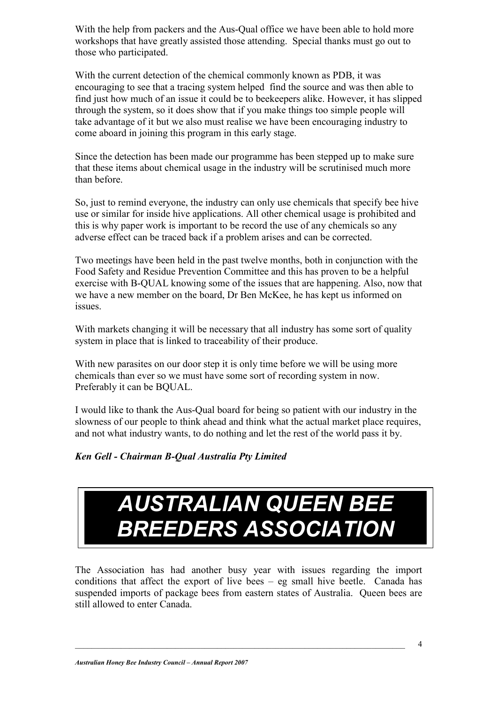With the help from packers and the Aus-Qual office we have been able to hold more workshops that have greatly assisted those attending. Special thanks must go out to those who participated.

With the current detection of the chemical commonly known as PDB, it was encouraging to see that a tracing system helped find the source and was then able to find just how much of an issue it could be to beekeepers alike. However, it has slipped through the system, so it does show that if you make things too simple people will take advantage of it but we also must realise we have been encouraging industry to come aboard in joining this program in this early stage.

Since the detection has been made our programme has been stepped up to make sure that these items about chemical usage in the industry will be scrutinised much more than before.

So, just to remind everyone, the industry can only use chemicals that specify bee hive use or similar for inside hive applications. All other chemical usage is prohibited and this is why paper work is important to be record the use of any chemicals so any adverse effect can be traced back if a problem arises and can be corrected.

Two meetings have been held in the past twelve months, both in conjunction with the Food Safety and Residue Prevention Committee and this has proven to be a helpful exercise with B-QUAL knowing some of the issues that are happening. Also, now that we have a new member on the board, Dr Ben McKee, he has kept us informed on issues.

With markets changing it will be necessary that all industry has some sort of quality system in place that is linked to traceability of their produce.

With new parasites on our door step it is only time before we will be using more chemicals than ever so we must have some sort of recording system in now. Preferably it can be BQUAL.

I would like to thank the Aus-Qual board for being so patient with our industry in the slowness of our people to think ahead and think what the actual market place requires, and not what industry wants, to do nothing and let the rest of the world pass it by.

#### *Ken Gell - Chairman B-Qual Australia Pty Limited*

## *AUSTRALIAN QUEEN BEE BREEDERS ASSOCIATION*

The Association has had another busy year with issues regarding the import conditions that affect the export of live bees – eg small hive beetle. Canada has suspended imports of package bees from eastern states of Australia. Queen bees are still allowed to enter Canada.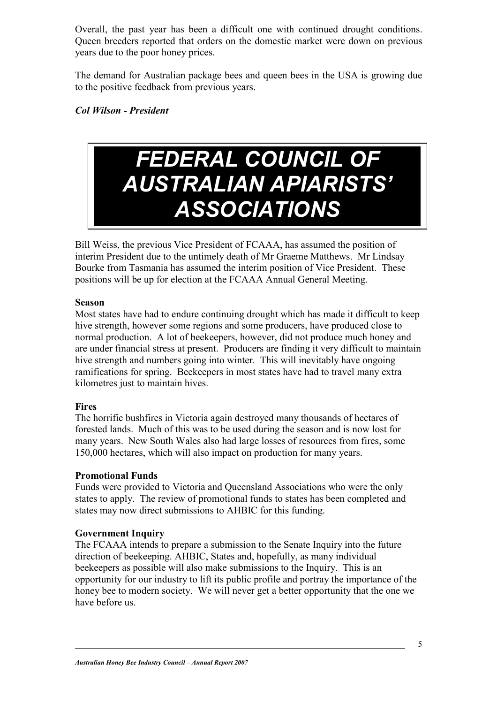Overall, the past year has been a difficult one with continued drought conditions. Queen breeders reported that orders on the domestic market were down on previous years due to the poor honey prices.

The demand for Australian package bees and queen bees in the USA is growing due to the positive feedback from previous years.

#### *Col Wilson - President*

## *FEDERAL COUNCIL OF AUSTRALIAN APIARISTS' ASSOCIATIONS*

Bill Weiss, the previous Vice President of FCAAA, has assumed the position of interim President due to the untimely death of Mr Graeme Matthews. Mr Lindsay Bourke from Tasmania has assumed the interim position of Vice President. These positions will be up for election at the FCAAA Annual General Meeting.

#### **Season**

Most states have had to endure continuing drought which has made it difficult to keep hive strength, however some regions and some producers, have produced close to normal production. A lot of beekeepers, however, did not produce much honey and are under financial stress at present. Producers are finding it very difficult to maintain hive strength and numbers going into winter. This will inevitably have ongoing ramifications for spring. Beekeepers in most states have had to travel many extra kilometres just to maintain hives.

#### **Fires**

The horrific bushfires in Victoria again destroyed many thousands of hectares of forested lands. Much of this was to be used during the season and is now lost for many years. New South Wales also had large losses of resources from fires, some 150,000 hectares, which will also impact on production for many years.

#### **Promotional Funds**

Funds were provided to Victoria and Queensland Associations who were the only states to apply. The review of promotional funds to states has been completed and states may now direct submissions to AHBIC for this funding.

#### **Government Inquiry**

The FCAAA intends to prepare a submission to the Senate Inquiry into the future direction of beekeeping. AHBIC, States and, hopefully, as many individual beekeepers as possible will also make submissions to the Inquiry. This is an opportunity for our industry to lift its public profile and portray the importance of the honey bee to modern society. We will never get a better opportunity that the one we have before us.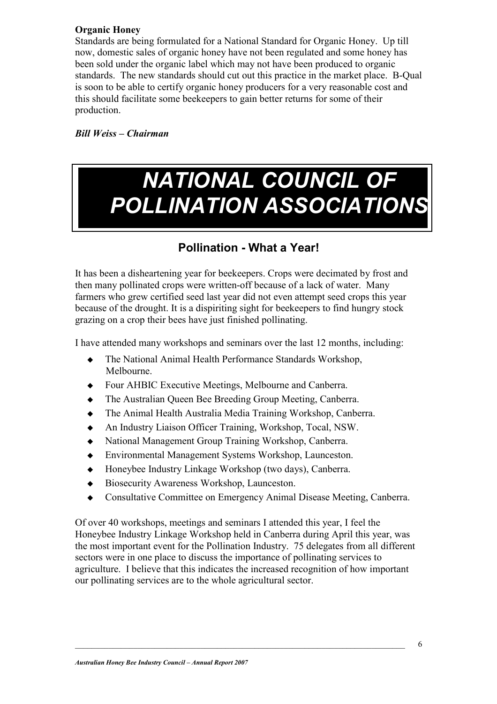#### **Organic Honey**

Standards are being formulated for a National Standard for Organic Honey. Up till now, domestic sales of organic honey have not been regulated and some honey has been sold under the organic label which may not have been produced to organic standards. The new standards should cut out this practice in the market place. B-Qual is soon to be able to certify organic honey producers for a very reasonable cost and this should facilitate some beekeepers to gain better returns for some of their production.

*Bill Weiss – Chairman* 

## *NATIONAL COUNCIL OF POLLINATION ASSOCIATIONS*

### **Pollination - What a Year!**

It has been a disheartening year for beekeepers. Crops were decimated by frost and then many pollinated crops were written-off because of a lack of water. Many farmers who grew certified seed last year did not even attempt seed crops this year because of the drought. It is a dispiriting sight for beekeepers to find hungry stock grazing on a crop their bees have just finished pollinating.

I have attended many workshops and seminars over the last 12 months, including:

- The National Animal Health Performance Standards Workshop, Melbourne.
- Four AHBIC Executive Meetings, Melbourne and Canberra.
- The Australian Queen Bee Breeding Group Meeting, Canberra.
- The Animal Health Australia Media Training Workshop, Canberra.
- An Industry Liaison Officer Training, Workshop, Tocal, NSW.
- National Management Group Training Workshop, Canberra.
- Environmental Management Systems Workshop, Launceston.
- Honeybee Industry Linkage Workshop (two days), Canberra.
- ◆ Biosecurity Awareness Workshop, Launceston.
- Consultative Committee on Emergency Animal Disease Meeting, Canberra.

Of over 40 workshops, meetings and seminars I attended this year, I feel the Honeybee Industry Linkage Workshop held in Canberra during April this year, was the most important event for the Pollination Industry. 75 delegates from all different sectors were in one place to discuss the importance of pollinating services to agriculture. I believe that this indicates the increased recognition of how important our pollinating services are to the whole agricultural sector.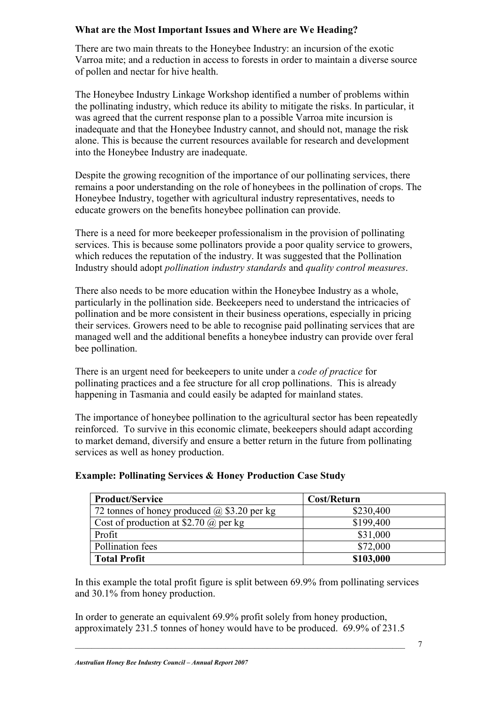#### **What are the Most Important Issues and Where are We Heading?**

There are two main threats to the Honeybee Industry: an incursion of the exotic Varroa mite; and a reduction in access to forests in order to maintain a diverse source of pollen and nectar for hive health.

The Honeybee Industry Linkage Workshop identified a number of problems within the pollinating industry, which reduce its ability to mitigate the risks. In particular, it was agreed that the current response plan to a possible Varroa mite incursion is inadequate and that the Honeybee Industry cannot, and should not, manage the risk alone. This is because the current resources available for research and development into the Honeybee Industry are inadequate.

Despite the growing recognition of the importance of our pollinating services, there remains a poor understanding on the role of honeybees in the pollination of crops. The Honeybee Industry, together with agricultural industry representatives, needs to educate growers on the benefits honeybee pollination can provide.

There is a need for more beekeeper professionalism in the provision of pollinating services. This is because some pollinators provide a poor quality service to growers, which reduces the reputation of the industry. It was suggested that the Pollination Industry should adopt *pollination industry standards* and *quality control measures*.

There also needs to be more education within the Honeybee Industry as a whole, particularly in the pollination side. Beekeepers need to understand the intricacies of pollination and be more consistent in their business operations, especially in pricing their services. Growers need to be able to recognise paid pollinating services that are managed well and the additional benefits a honeybee industry can provide over feral bee pollination.

There is an urgent need for beekeepers to unite under a *code of practice* for pollinating practices and a fee structure for all crop pollinations. This is already happening in Tasmania and could easily be adapted for mainland states.

The importance of honeybee pollination to the agricultural sector has been repeatedly reinforced. To survive in this economic climate, beekeepers should adapt according to market demand, diversify and ensure a better return in the future from pollinating services as well as honey production.

| <b>Product/Service</b>                             | Cost/Return |
|----------------------------------------------------|-------------|
| 72 tonnes of honey produced $\omega$ \$3.20 per kg | \$230,400   |
| Cost of production at \$2.70 $\omega$ per kg       | \$199,400   |
| Profit                                             | \$31,000    |
| Pollination fees                                   | \$72,000    |
| <b>Total Profit</b>                                | \$103,000   |

#### **Example: Pollinating Services & Honey Production Case Study**

In this example the total profit figure is split between 69.9% from pollinating services and 30.1% from honey production.

In order to generate an equivalent 69.9% profit solely from honey production, approximately 231.5 tonnes of honey would have to be produced. 69.9% of 231.5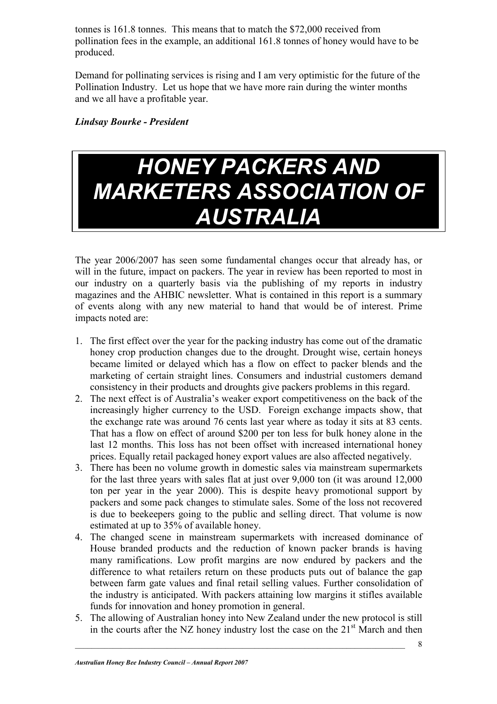tonnes is 161.8 tonnes. This means that to match the \$72,000 received from pollination fees in the example, an additional 161.8 tonnes of honey would have to be produced.

Demand for pollinating services is rising and I am very optimistic for the future of the Pollination Industry. Let us hope that we have more rain during the winter months and we all have a profitable year.

*Lindsay Bourke - President*

### *HONEY PACKERS AND MARKETERS ASSOCIATION OF AUSTRALIA*

The year 2006/2007 has seen some fundamental changes occur that already has, or will in the future, impact on packers. The year in review has been reported to most in our industry on a quarterly basis via the publishing of my reports in industry magazines and the AHBIC newsletter. What is contained in this report is a summary of events along with any new material to hand that would be of interest. Prime impacts noted are:

- 1. The first effect over the year for the packing industry has come out of the dramatic honey crop production changes due to the drought. Drought wise, certain honeys became limited or delayed which has a flow on effect to packer blends and the marketing of certain straight lines. Consumers and industrial customers demand consistency in their products and droughts give packers problems in this regard.
- 2. The next effect is of Australia's weaker export competitiveness on the back of the increasingly higher currency to the USD. Foreign exchange impacts show, that the exchange rate was around 76 cents last year where as today it sits at 83 cents. That has a flow on effect of around \$200 per ton less for bulk honey alone in the last 12 months. This loss has not been offset with increased international honey prices. Equally retail packaged honey export values are also affected negatively.
- 3. There has been no volume growth in domestic sales via mainstream supermarkets for the last three years with sales flat at just over 9,000 ton (it was around 12,000 ton per year in the year 2000). This is despite heavy promotional support by packers and some pack changes to stimulate sales. Some of the loss not recovered is due to beekeepers going to the public and selling direct. That volume is now estimated at up to 35% of available honey.
- 4. The changed scene in mainstream supermarkets with increased dominance of House branded products and the reduction of known packer brands is having many ramifications. Low profit margins are now endured by packers and the difference to what retailers return on these products puts out of balance the gap between farm gate values and final retail selling values. Further consolidation of the industry is anticipated. With packers attaining low margins it stifles available funds for innovation and honey promotion in general.
- 5. The allowing of Australian honey into New Zealand under the new protocol is still in the courts after the NZ honey industry lost the case on the  $21<sup>st</sup>$  March and then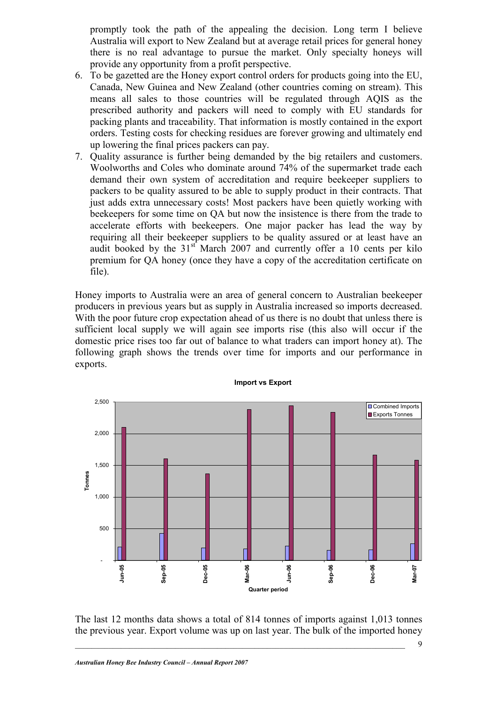promptly took the path of the appealing the decision. Long term I believe Australia will export to New Zealand but at average retail prices for general honey there is no real advantage to pursue the market. Only specialty honeys will provide any opportunity from a profit perspective.

- 6. To be gazetted are the Honey export control orders for products going into the EU, Canada, New Guinea and New Zealand (other countries coming on stream). This means all sales to those countries will be regulated through AQIS as the prescribed authority and packers will need to comply with EU standards for packing plants and traceability. That information is mostly contained in the export orders. Testing costs for checking residues are forever growing and ultimately end up lowering the final prices packers can pay.
- 7. Quality assurance is further being demanded by the big retailers and customers. Woolworths and Coles who dominate around 74% of the supermarket trade each demand their own system of accreditation and require beekeeper suppliers to packers to be quality assured to be able to supply product in their contracts. That just adds extra unnecessary costs! Most packers have been quietly working with beekeepers for some time on QA but now the insistence is there from the trade to accelerate efforts with beekeepers. One major packer has lead the way by requiring all their beekeeper suppliers to be quality assured or at least have an audit booked by the  $31<sup>st</sup>$  March 2007 and currently offer a 10 cents per kilo premium for QA honey (once they have a copy of the accreditation certificate on file).

Honey imports to Australia were an area of general concern to Australian beekeeper producers in previous years but as supply in Australia increased so imports decreased. With the poor future crop expectation ahead of us there is no doubt that unless there is sufficient local supply we will again see imports rise (this also will occur if the domestic price rises too far out of balance to what traders can import honey at). The following graph shows the trends over time for imports and our performance in exports.



The last 12 months data shows a total of 814 tonnes of imports against 1,013 tonnes the previous year. Export volume was up on last year. The bulk of the imported honey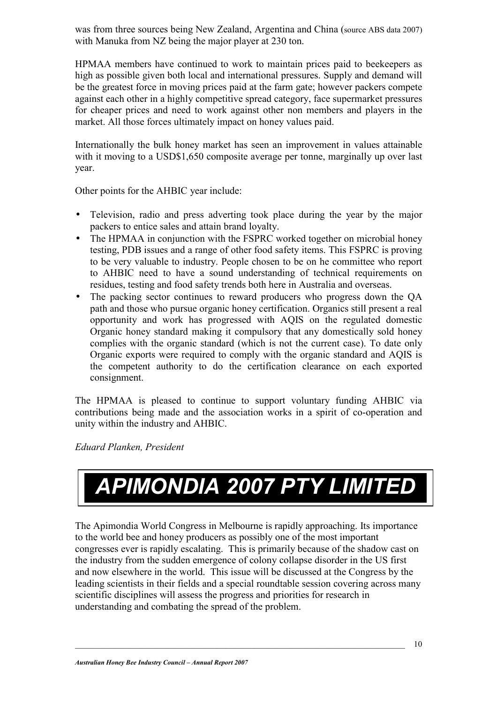was from three sources being New Zealand, Argentina and China (source ABS data 2007) with Manuka from NZ being the major player at 230 ton.

HPMAA members have continued to work to maintain prices paid to beekeepers as high as possible given both local and international pressures. Supply and demand will be the greatest force in moving prices paid at the farm gate; however packers compete against each other in a highly competitive spread category, face supermarket pressures for cheaper prices and need to work against other non members and players in the market. All those forces ultimately impact on honey values paid.

Internationally the bulk honey market has seen an improvement in values attainable with it moving to a USD\$1,650 composite average per tonne, marginally up over last year.

Other points for the AHBIC year include:

- Television, radio and press adverting took place during the year by the major packers to entice sales and attain brand loyalty.
- The HPMAA in conjunction with the FSPRC worked together on microbial honey testing, PDB issues and a range of other food safety items. This FSPRC is proving to be very valuable to industry. People chosen to be on he committee who report to AHBIC need to have a sound understanding of technical requirements on residues, testing and food safety trends both here in Australia and overseas.
- The packing sector continues to reward producers who progress down the QA path and those who pursue organic honey certification. Organics still present a real opportunity and work has progressed with AQIS on the regulated domestic Organic honey standard making it compulsory that any domestically sold honey complies with the organic standard (which is not the current case). To date only Organic exports were required to comply with the organic standard and AQIS is the competent authority to do the certification clearance on each exported consignment.

The HPMAA is pleased to continue to support voluntary funding AHBIC via contributions being made and the association works in a spirit of co-operation and unity within the industry and AHBIC.

*Eduard Planken, President* 

# *APIMONDIA 2007 PTY LIMITED*

The Apimondia World Congress in Melbourne is rapidly approaching. Its importance to the world bee and honey producers as possibly one of the most important congresses ever is rapidly escalating. This is primarily because of the shadow cast on the industry from the sudden emergence of colony collapse disorder in the US first and now elsewhere in the world. This issue will be discussed at the Congress by the leading scientists in their fields and a special roundtable session covering across many scientific disciplines will assess the progress and priorities for research in understanding and combating the spread of the problem.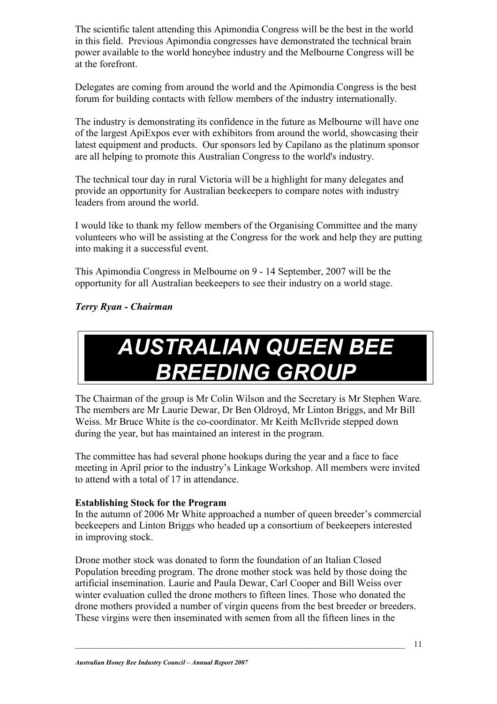The scientific talent attending this Apimondia Congress will be the best in the world in this field. Previous Apimondia congresses have demonstrated the technical brain power available to the world honeybee industry and the Melbourne Congress will be at the forefront.

Delegates are coming from around the world and the Apimondia Congress is the best forum for building contacts with fellow members of the industry internationally.

The industry is demonstrating its confidence in the future as Melbourne will have one of the largest ApiExpos ever with exhibitors from around the world, showcasing their latest equipment and products. Our sponsors led by Capilano as the platinum sponsor are all helping to promote this Australian Congress to the world's industry.

The technical tour day in rural Victoria will be a highlight for many delegates and provide an opportunity for Australian beekeepers to compare notes with industry leaders from around the world.

I would like to thank my fellow members of the Organising Committee and the many volunteers who will be assisting at the Congress for the work and help they are putting into making it a successful event.

This Apimondia Congress in Melbourne on 9 - 14 September, 2007 will be the opportunity for all Australian beekeepers to see their industry on a world stage.

#### *Terry Ryan - Chairman*

### *AUSTRALIAN QUEEN BEE BREEDING GROUP*

The Chairman of the group is Mr Colin Wilson and the Secretary is Mr Stephen Ware. The members are Mr Laurie Dewar, Dr Ben Oldroyd, Mr Linton Briggs, and Mr Bill Weiss. Mr Bruce White is the co-coordinator. Mr Keith McIlvride stepped down during the year, but has maintained an interest in the program.

The committee has had several phone hookups during the year and a face to face meeting in April prior to the industry's Linkage Workshop. All members were invited to attend with a total of 17 in attendance.

#### **Establishing Stock for the Program**

In the autumn of 2006 Mr White approached a number of queen breeder's commercial beekeepers and Linton Briggs who headed up a consortium of beekeepers interested in improving stock.

Drone mother stock was donated to form the foundation of an Italian Closed Population breeding program. The drone mother stock was held by those doing the artificial insemination. Laurie and Paula Dewar, Carl Cooper and Bill Weiss over winter evaluation culled the drone mothers to fifteen lines. Those who donated the drone mothers provided a number of virgin queens from the best breeder or breeders. These virgins were then inseminated with semen from all the fifteen lines in the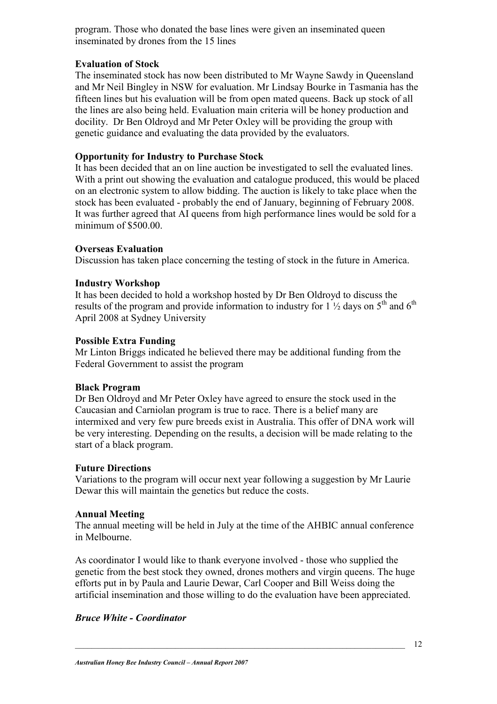program. Those who donated the base lines were given an inseminated queen inseminated by drones from the 15 lines

#### **Evaluation of Stock**

The inseminated stock has now been distributed to Mr Wayne Sawdy in Queensland and Mr Neil Bingley in NSW for evaluation. Mr Lindsay Bourke in Tasmania has the fifteen lines but his evaluation will be from open mated queens. Back up stock of all the lines are also being held. Evaluation main criteria will be honey production and docility. Dr Ben Oldroyd and Mr Peter Oxley will be providing the group with genetic guidance and evaluating the data provided by the evaluators.

#### **Opportunity for Industry to Purchase Stock**

It has been decided that an on line auction be investigated to sell the evaluated lines. With a print out showing the evaluation and catalogue produced, this would be placed on an electronic system to allow bidding. The auction is likely to take place when the stock has been evaluated - probably the end of January, beginning of February 2008. It was further agreed that AI queens from high performance lines would be sold for a minimum of \$500.00.

#### **Overseas Evaluation**

Discussion has taken place concerning the testing of stock in the future in America.

#### **Industry Workshop**

It has been decided to hold a workshop hosted by Dr Ben Oldroyd to discuss the results of the program and provide information to industry for  $1 \frac{1}{2}$  days on  $5^{\text{th}}$  and  $6^{\text{th}}$ April 2008 at Sydney University

#### **Possible Extra Funding**

Mr Linton Briggs indicated he believed there may be additional funding from the Federal Government to assist the program

#### **Black Program**

Dr Ben Oldroyd and Mr Peter Oxley have agreed to ensure the stock used in the Caucasian and Carniolan program is true to race. There is a belief many are intermixed and very few pure breeds exist in Australia. This offer of DNA work will be very interesting. Depending on the results, a decision will be made relating to the start of a black program.

#### **Future Directions**

Variations to the program will occur next year following a suggestion by Mr Laurie Dewar this will maintain the genetics but reduce the costs.

#### **Annual Meeting**

The annual meeting will be held in July at the time of the AHBIC annual conference in Melbourne.

As coordinator I would like to thank everyone involved - those who supplied the genetic from the best stock they owned, drones mothers and virgin queens. The huge efforts put in by Paula and Laurie Dewar, Carl Cooper and Bill Weiss doing the artificial insemination and those willing to do the evaluation have been appreciated.

#### *Bruce White - Coordinator*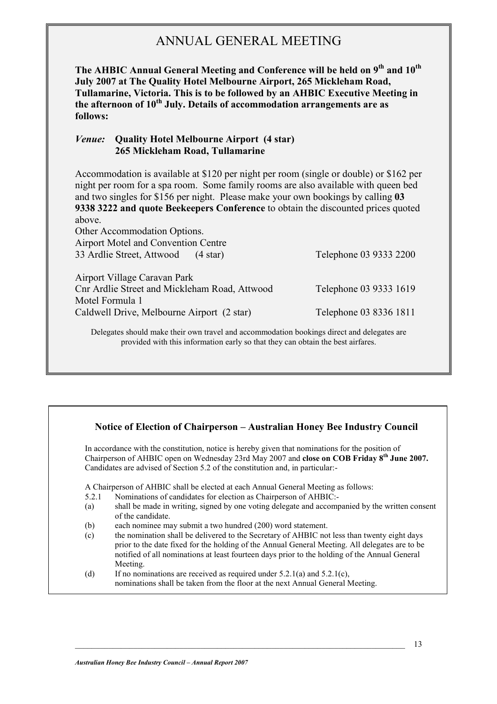### ANNUAL GENERAL MEETING

**The AHBIC Annual General Meeting and Conference will be held on 9th and 10th July 2007 at The Quality Hotel Melbourne Airport, 265 Mickleham Road, Tullamarine, Victoria. This is to be followed by an AHBIC Executive Meeting in**  the afternoon of 10<sup>th</sup> July. Details of accommodation arrangements are as **follows:** 

#### *Venue:* **Quality Hotel Melbourne Airport (4 star) 265 Mickleham Road, Tullamarine**

Accommodation is available at \$120 per night per room (single or double) or \$162 per night per room for a spa room. Some family rooms are also available with queen bed and two singles for \$156 per night. Please make your own bookings by calling **03 9338 3222 and quote Beekeepers Conference** to obtain the discounted prices quoted above.

| Other Accommodation Options.                    |                        |
|-------------------------------------------------|------------------------|
| <b>Airport Motel and Convention Centre</b>      |                        |
| 33 Ardlie Street, Attwood<br>$(4 \text{ star})$ | Telephone 03 9333 2200 |
|                                                 |                        |
| Airport Village Caravan Park                    |                        |
| Cnr Ardlie Street and Mickleham Road, Attwood   | Telephone 03 9333 1619 |
| Motel Formula 1                                 |                        |
| Caldwell Drive, Melbourne Airport (2 star)      | Telephone 03 8336 1811 |
|                                                 |                        |

Delegates should make their own travel and accommodation bookings direct and delegates are provided with this information early so that they can obtain the best airfares.

#### **Notice of Election of Chairperson – Australian Honey Bee Industry Council**

In accordance with the constitution, notice is hereby given that nominations for the position of Chairperson of AHBIC open on Wednesday 23rd May 2007 and **close on COB Friday 8th June 2007.** Candidates are advised of Section 5.2 of the constitution and, in particular:-

A Chairperson of AHBIC shall be elected at each Annual General Meeting as follows:

- 5.2.1 Nominations of candidates for election as Chairperson of AHBIC:-
- (a) shall be made in writing, signed by one voting delegate and accompanied by the written consent of the candidate.
- (b) each nominee may submit a two hundred (200) word statement.
- (c) the nomination shall be delivered to the Secretary of AHBIC not less than twenty eight days prior to the date fixed for the holding of the Annual General Meeting. All delegates are to be notified of all nominations at least fourteen days prior to the holding of the Annual General Meeting.
- (d) If no nominations are received as required under  $5.2.1(a)$  and  $5.2.1(c)$ , nominations shall be taken from the floor at the next Annual General Meeting.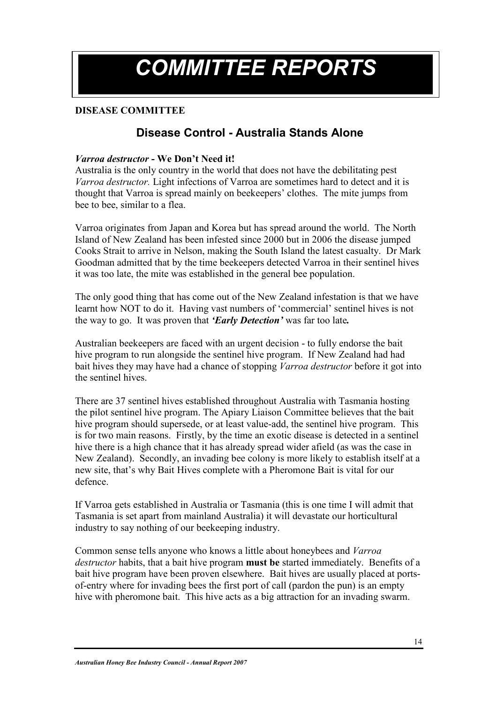## *COMMITTEE REPORTS*

#### **DISEASE COMMITTEE**

#### **Disease Control - Australia Stands Alone**

#### *Varroa destructor* **- We Don't Need it!**

Australia is the only country in the world that does not have the debilitating pest *Varroa destructor.* Light infections of Varroa are sometimes hard to detect and it is thought that Varroa is spread mainly on beekeepers' clothes. The mite jumps from bee to bee, similar to a flea.

Varroa originates from Japan and Korea but has spread around the world. The North Island of New Zealand has been infested since 2000 but in 2006 the disease jumped Cooks Strait to arrive in Nelson, making the South Island the latest casualty. Dr Mark Goodman admitted that by the time beekeepers detected Varroa in their sentinel hives it was too late, the mite was established in the general bee population.

The only good thing that has come out of the New Zealand infestation is that we have learnt how NOT to do it. Having vast numbers of 'commercial' sentinel hives is not the way to go. It was proven that *'Early Detection'* was far too late*.*

Australian beekeepers are faced with an urgent decision - to fully endorse the bait hive program to run alongside the sentinel hive program. If New Zealand had had bait hives they may have had a chance of stopping *Varroa destructor* before it got into the sentinel hives.

There are 37 sentinel hives established throughout Australia with Tasmania hosting the pilot sentinel hive program. The Apiary Liaison Committee believes that the bait hive program should supersede, or at least value-add, the sentinel hive program. This is for two main reasons. Firstly, by the time an exotic disease is detected in a sentinel hive there is a high chance that it has already spread wider afield (as was the case in New Zealand). Secondly, an invading bee colony is more likely to establish itself at a new site, that's why Bait Hives complete with a Pheromone Bait is vital for our defence.

If Varroa gets established in Australia or Tasmania (this is one time I will admit that Tasmania is set apart from mainland Australia) it will devastate our horticultural industry to say nothing of our beekeeping industry.

Common sense tells anyone who knows a little about honeybees and *Varroa destructor* habits, that a bait hive program **must be** started immediately. Benefits of a bait hive program have been proven elsewhere. Bait hives are usually placed at portsof-entry where for invading bees the first port of call (pardon the pun) is an empty hive with pheromone bait. This hive acts as a big attraction for an invading swarm.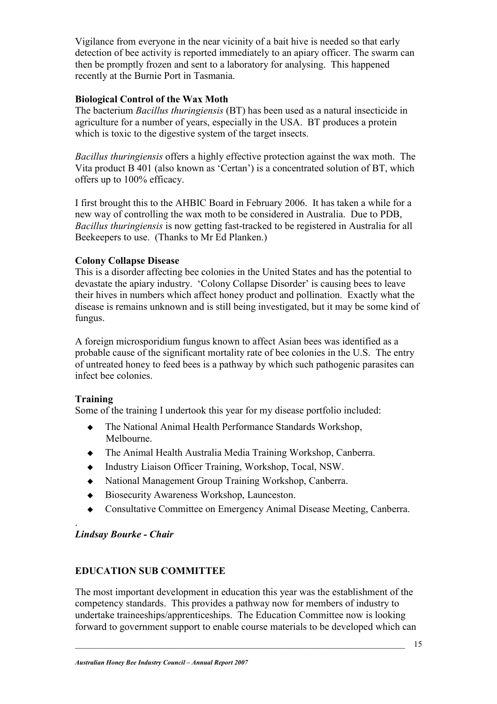Vigilance from everyone in the near vicinity of a bait hive is needed so that early detection of bee activity is reported immediately to an apiary officer. The swarm can then be promptly frozen and sent to a laboratory for analysing. This happened recently at the Burnie Port in Tasmania.

#### **Biological Control of the Wax Moth**

The bacterium *Bacillus thuringiensis* (BT) has been used as a natural insecticide in agriculture for a number of years, especially in the USA. BT produces a protein which is toxic to the digestive system of the target insects.

*Bacillus thuringiensis* offers a highly effective protection against the wax moth. The Vita product B 401 (also known as 'Certan') is a concentrated solution of BT, which offers up to 100% efficacy.

I first brought this to the AHBIC Board in February 2006. It has taken a while for a new way of controlling the wax moth to be considered in Australia. Due to PDB, *Bacillus thuringiensis* is now getting fast-tracked to be registered in Australia for all Beekeepers to use. (Thanks to Mr Ed Planken.)

#### **Colony Collapse Disease**

This is a disorder affecting bee colonies in the United States and has the potential to devastate the apiary industry. 'Colony Collapse Disorder' is causing bees to leave their hives in numbers which affect honey product and pollination. Exactly what the disease is remains unknown and is still being investigated, but it may be some kind of fungus.

A foreign microsporidium fungus known to affect Asian bees was identified as a probable cause of the significant mortality rate of bee colonies in the U.S. The entry of untreated honey to feed bees is a pathway by which such pathogenic parasites can infect bee colonies.

#### **Training**

Some of the training I undertook this year for my disease portfolio included:

- The National Animal Health Performance Standards Workshop, Melbourne.
- The Animal Health Australia Media Training Workshop, Canberra.
- Industry Liaison Officer Training, Workshop, Tocal, NSW.
- National Management Group Training Workshop, Canberra.
- Biosecurity Awareness Workshop, Launceston.
- Consultative Committee on Emergency Animal Disease Meeting, Canberra.

#### . *Lindsay Bourke - Chair*

#### **EDUCATION SUB COMMITTEE**

The most important development in education this year was the establishment of the competency standards. This provides a pathway now for members of industry to undertake traineeships/apprenticeships. The Education Committee now is looking forward to government support to enable course materials to be developed which can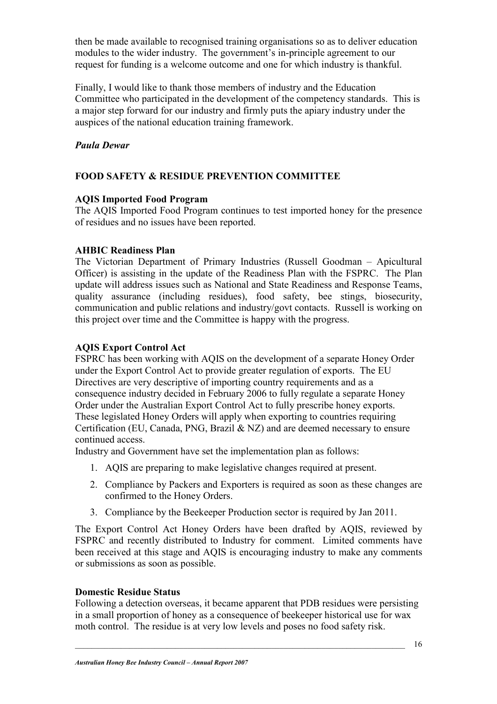then be made available to recognised training organisations so as to deliver education modules to the wider industry. The government's in-principle agreement to our request for funding is a welcome outcome and one for which industry is thankful.

Finally, I would like to thank those members of industry and the Education Committee who participated in the development of the competency standards. This is a major step forward for our industry and firmly puts the apiary industry under the auspices of the national education training framework.

#### *Paula Dewar*

#### **FOOD SAFETY & RESIDUE PREVENTION COMMITTEE**

#### **AQIS Imported Food Program**

The AQIS Imported Food Program continues to test imported honey for the presence of residues and no issues have been reported.

#### **AHBIC Readiness Plan**

The Victorian Department of Primary Industries (Russell Goodman – Apicultural Officer) is assisting in the update of the Readiness Plan with the FSPRC. The Plan update will address issues such as National and State Readiness and Response Teams, quality assurance (including residues), food safety, bee stings, biosecurity, communication and public relations and industry/govt contacts. Russell is working on this project over time and the Committee is happy with the progress.

#### **AQIS Export Control Act**

FSPRC has been working with AQIS on the development of a separate Honey Order under the Export Control Act to provide greater regulation of exports. The EU Directives are very descriptive of importing country requirements and as a consequence industry decided in February 2006 to fully regulate a separate Honey Order under the Australian Export Control Act to fully prescribe honey exports. These legislated Honey Orders will apply when exporting to countries requiring Certification (EU, Canada, PNG, Brazil & NZ) and are deemed necessary to ensure continued access.

Industry and Government have set the implementation plan as follows:

- 1. AQIS are preparing to make legislative changes required at present.
- 2. Compliance by Packers and Exporters is required as soon as these changes are confirmed to the Honey Orders.
- 3. Compliance by the Beekeeper Production sector is required by Jan 2011.

The Export Control Act Honey Orders have been drafted by AQIS, reviewed by FSPRC and recently distributed to Industry for comment. Limited comments have been received at this stage and AQIS is encouraging industry to make any comments or submissions as soon as possible.

#### **Domestic Residue Status**

Following a detection overseas, it became apparent that PDB residues were persisting in a small proportion of honey as a consequence of beekeeper historical use for wax moth control. The residue is at very low levels and poses no food safety risk.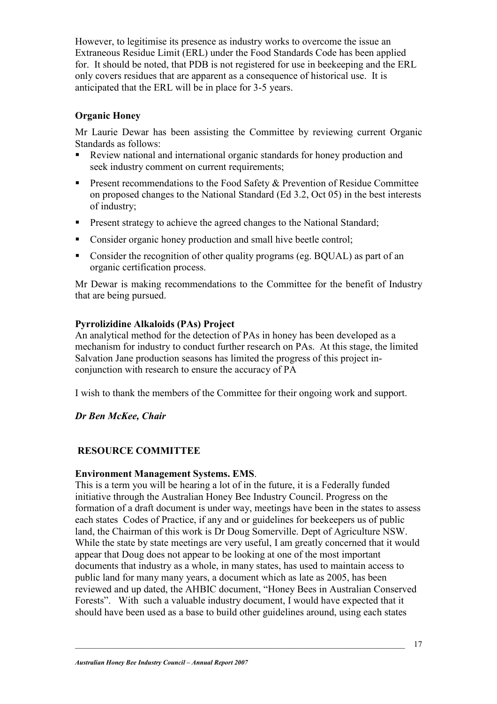However, to legitimise its presence as industry works to overcome the issue an Extraneous Residue Limit (ERL) under the Food Standards Code has been applied for. It should be noted, that PDB is not registered for use in beekeeping and the ERL only covers residues that are apparent as a consequence of historical use. It is anticipated that the ERL will be in place for 3-5 years.

#### **Organic Honey**

Mr Laurie Dewar has been assisting the Committee by reviewing current Organic Standards as follows:

- - Review national and international organic standards for honey production and seek industry comment on current requirements;
- **Present recommendations to the Food Safety & Prevention of Residue Committee** on proposed changes to the National Standard (Ed 3.2, Oct 05) in the best interests of industry;
- **•** Present strategy to achieve the agreed changes to the National Standard;
- Consider organic honey production and small hive beetle control;
- Consider the recognition of other quality programs (eg. BQUAL) as part of an organic certification process.

Mr Dewar is making recommendations to the Committee for the benefit of Industry that are being pursued.

#### **Pyrrolizidine Alkaloids (PAs) Project**

An analytical method for the detection of PAs in honey has been developed as a mechanism for industry to conduct further research on PAs. At this stage, the limited Salvation Jane production seasons has limited the progress of this project inconjunction with research to ensure the accuracy of PA

I wish to thank the members of the Committee for their ongoing work and support.

*Dr Ben McKee, Chair* 

#### **RESOURCE COMMITTEE**

#### **Environment Management Systems. EMS**.

This is a term you will be hearing a lot of in the future, it is a Federally funded initiative through the Australian Honey Bee Industry Council. Progress on the formation of a draft document is under way, meetings have been in the states to assess each states Codes of Practice, if any and or guidelines for beekeepers us of public land, the Chairman of this work is Dr Doug Somerville. Dept of Agriculture NSW. While the state by state meetings are very useful, I am greatly concerned that it would appear that Doug does not appear to be looking at one of the most important documents that industry as a whole, in many states, has used to maintain access to public land for many many years, a document which as late as 2005, has been reviewed and up dated, the AHBIC document, "Honey Bees in Australian Conserved Forests". With such a valuable industry document, I would have expected that it should have been used as a base to build other guidelines around, using each states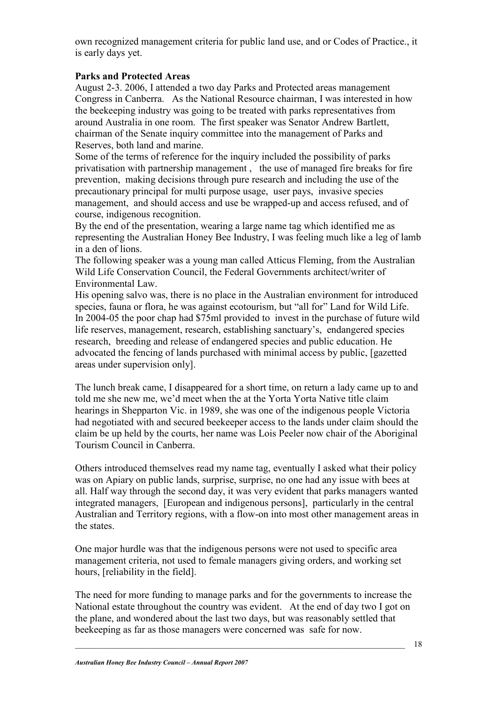own recognized management criteria for public land use, and or Codes of Practice., it is early days yet.

#### **Parks and Protected Areas**

August 2-3. 2006, I attended a two day Parks and Protected areas management Congress in Canberra. As the National Resource chairman, I was interested in how the beekeeping industry was going to be treated with parks representatives from around Australia in one room. The first speaker was Senator Andrew Bartlett, chairman of the Senate inquiry committee into the management of Parks and Reserves, both land and marine.

Some of the terms of reference for the inquiry included the possibility of parks privatisation with partnership management , the use of managed fire breaks for fire prevention, making decisions through pure research and including the use of the precautionary principal for multi purpose usage, user pays, invasive species management, and should access and use be wrapped-up and access refused, and of course, indigenous recognition.

By the end of the presentation, wearing a large name tag which identified me as representing the Australian Honey Bee Industry, I was feeling much like a leg of lamb in a den of lions.

The following speaker was a young man called Atticus Fleming, from the Australian Wild Life Conservation Council, the Federal Governments architect/writer of Environmental Law.

His opening salvo was, there is no place in the Australian environment for introduced species, fauna or flora, he was against ecotourism, but "all for" Land for Wild Life. In 2004-05 the poor chap had \$75ml provided to invest in the purchase of future wild life reserves, management, research, establishing sanctuary's, endangered species research, breeding and release of endangered species and public education. He advocated the fencing of lands purchased with minimal access by public, [gazetted areas under supervision only].

The lunch break came, I disappeared for a short time, on return a lady came up to and told me she new me, we'd meet when the at the Yorta Yorta Native title claim hearings in Shepparton Vic. in 1989, she was one of the indigenous people Victoria had negotiated with and secured beekeeper access to the lands under claim should the claim be up held by the courts, her name was Lois Peeler now chair of the Aboriginal Tourism Council in Canberra.

Others introduced themselves read my name tag, eventually I asked what their policy was on Apiary on public lands, surprise, surprise, no one had any issue with bees at all. Half way through the second day, it was very evident that parks managers wanted integrated managers, [European and indigenous persons], particularly in the central Australian and Territory regions, with a flow-on into most other management areas in the states.

One major hurdle was that the indigenous persons were not used to specific area management criteria, not used to female managers giving orders, and working set hours, [reliability in the field].

The need for more funding to manage parks and for the governments to increase the National estate throughout the country was evident. At the end of day two I got on the plane, and wondered about the last two days, but was reasonably settled that beekeeping as far as those managers were concerned was safe for now.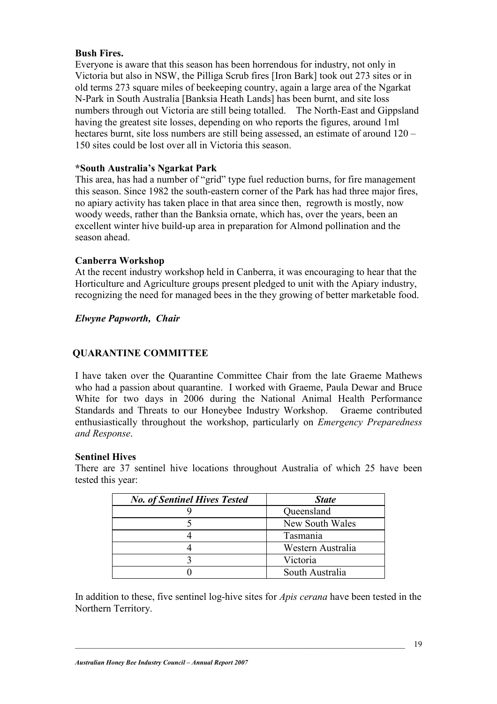#### **Bush Fires.**

Everyone is aware that this season has been horrendous for industry, not only in Victoria but also in NSW, the Pilliga Scrub fires [Iron Bark] took out 273 sites or in old terms 273 square miles of beekeeping country, again a large area of the Ngarkat N-Park in South Australia [Banksia Heath Lands] has been burnt, and site loss numbers through out Victoria are still being totalled. The North-East and Gippsland having the greatest site losses, depending on who reports the figures, around 1ml hectares burnt, site loss numbers are still being assessed, an estimate of around  $120 -$ 150 sites could be lost over all in Victoria this season.

#### **\*South Australia's Ngarkat Park**

This area, has had a number of "grid" type fuel reduction burns, for fire management this season. Since 1982 the south-eastern corner of the Park has had three major fires, no apiary activity has taken place in that area since then, regrowth is mostly, now woody weeds, rather than the Banksia ornate, which has, over the years, been an excellent winter hive build-up area in preparation for Almond pollination and the season ahead.

#### **Canberra Workshop**

At the recent industry workshop held in Canberra, it was encouraging to hear that the Horticulture and Agriculture groups present pledged to unit with the Apiary industry, recognizing the need for managed bees in the they growing of better marketable food.

#### *Elwyne Papworth, Chair*

#### **QUARANTINE COMMITTEE**

I have taken over the Quarantine Committee Chair from the late Graeme Mathews who had a passion about quarantine. I worked with Graeme, Paula Dewar and Bruce White for two days in 2006 during the National Animal Health Performance Standards and Threats to our Honeybee Industry Workshop. Graeme contributed enthusiastically throughout the workshop, particularly on *Emergency Preparedness and Response*.

#### **Sentinel Hives**

There are 37 sentinel hive locations throughout Australia of which 25 have been tested this year:

| <b>No. of Sentinel Hives Tested</b> | <b>State</b>      |
|-------------------------------------|-------------------|
|                                     | Queensland        |
|                                     | New South Wales   |
|                                     | Tasmania          |
|                                     | Western Australia |
|                                     | Victoria          |
|                                     | South Australia   |

In addition to these, five sentinel log-hive sites for *Apis cerana* have been tested in the Northern Territory.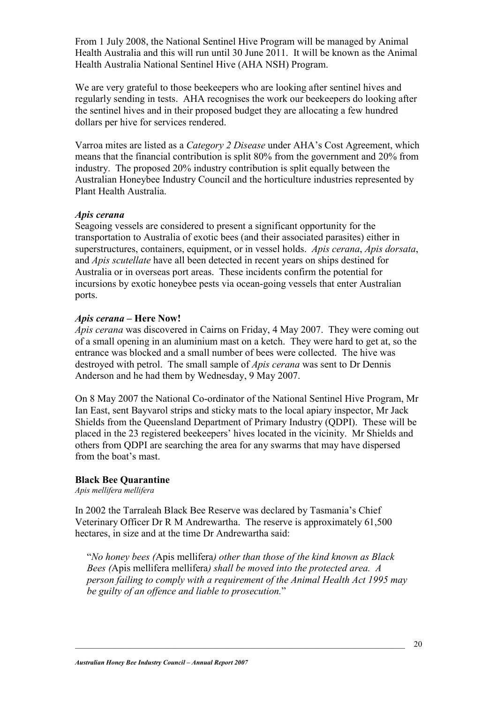From 1 July 2008, the National Sentinel Hive Program will be managed by Animal Health Australia and this will run until 30 June 2011. It will be known as the Animal Health Australia National Sentinel Hive (AHA NSH) Program.

We are very grateful to those beekeepers who are looking after sentinel hives and regularly sending in tests. AHA recognises the work our beekeepers do looking after the sentinel hives and in their proposed budget they are allocating a few hundred dollars per hive for services rendered.

Varroa mites are listed as a *Category 2 Disease* under AHA's Cost Agreement, which means that the financial contribution is split 80% from the government and 20% from industry. The proposed 20% industry contribution is split equally between the Australian Honeybee Industry Council and the horticulture industries represented by Plant Health Australia.

#### *Apis cerana*

Seagoing vessels are considered to present a significant opportunity for the transportation to Australia of exotic bees (and their associated parasites) either in superstructures, containers, equipment, or in vessel holds. *Apis cerana*, *Apis dorsata*, and *Apis scutellate* have all been detected in recent years on ships destined for Australia or in overseas port areas. These incidents confirm the potential for incursions by exotic honeybee pests via ocean-going vessels that enter Australian ports.

#### *Apis cerana* **– Here Now!**

*Apis cerana* was discovered in Cairns on Friday, 4 May 2007. They were coming out of a small opening in an aluminium mast on a ketch. They were hard to get at, so the entrance was blocked and a small number of bees were collected. The hive was destroyed with petrol. The small sample of *Apis cerana* was sent to Dr Dennis Anderson and he had them by Wednesday, 9 May 2007.

On 8 May 2007 the National Co-ordinator of the National Sentinel Hive Program, Mr Ian East, sent Bayvarol strips and sticky mats to the local apiary inspector, Mr Jack Shields from the Queensland Department of Primary Industry (QDPI). These will be placed in the 23 registered beekeepers' hives located in the vicinity. Mr Shields and others from QDPI are searching the area for any swarms that may have dispersed from the boat's mast.

#### **Black Bee Quarantine**

*Apis mellifera mellifera* 

In 2002 the Tarraleah Black Bee Reserve was declared by Tasmania's Chief Veterinary Officer Dr R M Andrewartha. The reserve is approximately 61,500 hectares, in size and at the time Dr Andrewartha said:

"*No honey bees (*Apis mellifera*) other than those of the kind known as Black Bees (*Apis mellifera mellifera*) shall be moved into the protected area. A person failing to comply with a requirement of the Animal Health Act 1995 may be guilty of an offence and liable to prosecution.*"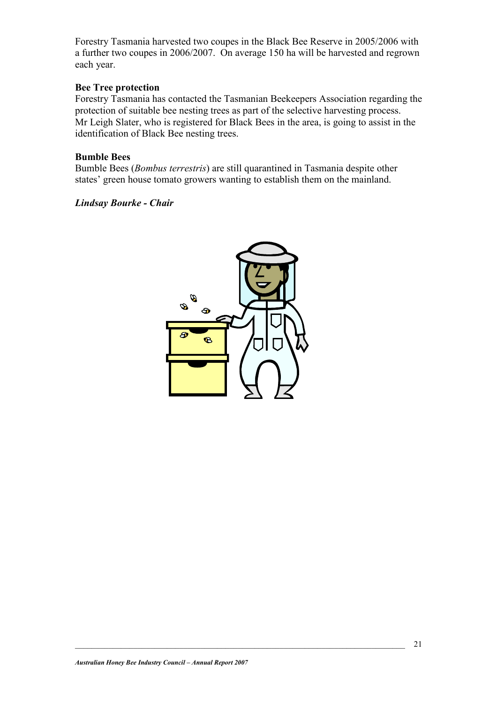Forestry Tasmania harvested two coupes in the Black Bee Reserve in 2005/2006 with a further two coupes in 2006/2007. On average 150 ha will be harvested and regrown each year.

#### **Bee Tree protection**

Forestry Tasmania has contacted the Tasmanian Beekeepers Association regarding the protection of suitable bee nesting trees as part of the selective harvesting process. Mr Leigh Slater, who is registered for Black Bees in the area, is going to assist in the identification of Black Bee nesting trees.

#### **Bumble Bees**

Bumble Bees (*Bombus terrestris*) are still quarantined in Tasmania despite other states' green house tomato growers wanting to establish them on the mainland.

#### *Lindsay Bourke - Chair*

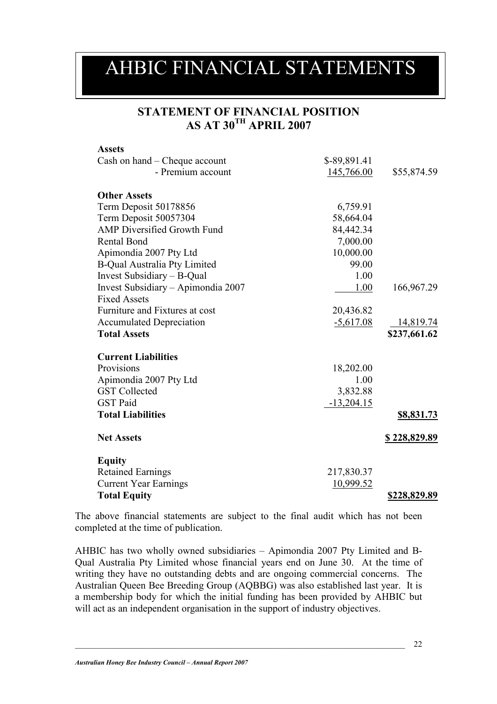### AHBIC FINANCIAL STATEMENTS

#### **STATEMENT OF FINANCIAL POSITION AS AT 30TH APRIL 2007**

| <b>Assets</b>                       |              |                     |
|-------------------------------------|--------------|---------------------|
| Cash on hand – Cheque account       | \$-89,891.41 |                     |
| - Premium account                   | 145,766.00   | \$55,874.59         |
| <b>Other Assets</b>                 |              |                     |
| Term Deposit 50178856               | 6,759.91     |                     |
| Term Deposit 50057304               | 58,664.04    |                     |
| <b>AMP Diversified Growth Fund</b>  | 84,442.34    |                     |
| <b>Rental Bond</b>                  | 7,000.00     |                     |
| Apimondia 2007 Pty Ltd              | 10,000.00    |                     |
| <b>B-Qual Australia Pty Limited</b> | 99.00        |                     |
| Invest Subsidiary - B-Qual          | 1.00         |                     |
| Invest Subsidiary – Apimondia 2007  | 1.00         | 166,967.29          |
| <b>Fixed Assets</b>                 |              |                     |
| Furniture and Fixtures at cost      | 20,436.82    |                     |
| <b>Accumulated Depreciation</b>     | $-5,617.08$  | 14,819.74           |
| <b>Total Assets</b>                 |              | \$237,661.62        |
| <b>Current Liabilities</b>          |              |                     |
| Provisions                          | 18,202.00    |                     |
| Apimondia 2007 Pty Ltd              | 1.00         |                     |
| <b>GST</b> Collected                | 3,832.88     |                     |
| <b>GST Paid</b>                     | $-13,204.15$ |                     |
| <b>Total Liabilities</b>            |              | <u>\$8,831.73</u>   |
|                                     |              |                     |
| <b>Net Assets</b>                   |              | <u>\$228,829.89</u> |
| <b>Equity</b>                       |              |                     |
| <b>Retained Earnings</b>            | 217,830.37   |                     |
| <b>Current Year Earnings</b>        | 10,999.52    |                     |
| <b>Total Equity</b>                 |              | \$228,829.89        |

The above financial statements are subject to the final audit which has not been completed at the time of publication.

AHBIC has two wholly owned subsidiaries – Apimondia 2007 Pty Limited and B-Qual Australia Pty Limited whose financial years end on June 30. At the time of writing they have no outstanding debts and are ongoing commercial concerns. The Australian Queen Bee Breeding Group (AQBBG) was also established last year. It is a membership body for which the initial funding has been provided by AHBIC but will act as an independent organisation in the support of industry objectives.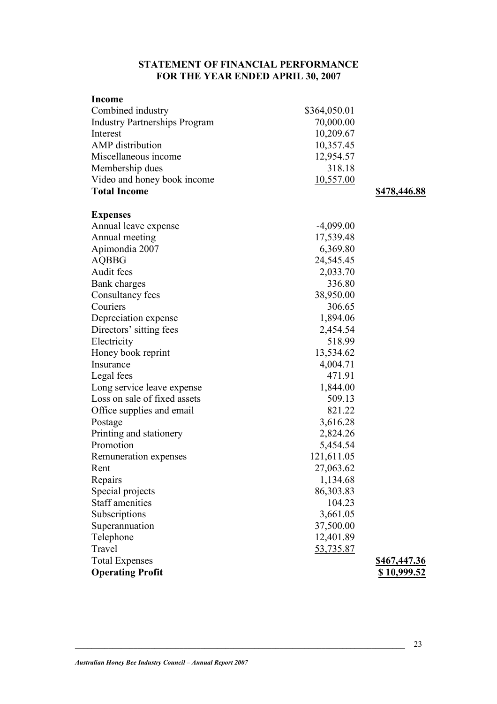#### **STATEMENT OF FINANCIAL PERFORMANCE FOR THE YEAR ENDED APRIL 30, 2007**

| <b>Income</b>                        |              |                    |
|--------------------------------------|--------------|--------------------|
| Combined industry                    | \$364,050.01 |                    |
| <b>Industry Partnerships Program</b> | 70,000.00    |                    |
| Interest                             | 10,209.67    |                    |
| <b>AMP</b> distribution              | 10,357.45    |                    |
| Miscellaneous income                 | 12,954.57    |                    |
| Membership dues                      | 318.18       |                    |
| Video and honey book income          | 10,557.00    |                    |
| <b>Total Income</b>                  |              | \$478,446.88       |
| <b>Expenses</b>                      |              |                    |
| Annual leave expense                 | $-4,099.00$  |                    |
| Annual meeting                       | 17,539.48    |                    |
| Apimondia 2007                       | 6,369.80     |                    |
| <b>AQBBG</b>                         | 24,545.45    |                    |
| Audit fees                           | 2,033.70     |                    |
| Bank charges                         | 336.80       |                    |
| Consultancy fees                     | 38,950.00    |                    |
| Couriers                             | 306.65       |                    |
| Depreciation expense                 | 1,894.06     |                    |
| Directors' sitting fees              | 2,454.54     |                    |
| Electricity                          | 518.99       |                    |
| Honey book reprint                   | 13,534.62    |                    |
| Insurance                            | 4,004.71     |                    |
| Legal fees                           | 471.91       |                    |
| Long service leave expense           | 1,844.00     |                    |
| Loss on sale of fixed assets         | 509.13       |                    |
| Office supplies and email            | 821.22       |                    |
| Postage                              | 3,616.28     |                    |
| Printing and stationery              | 2,824.26     |                    |
| Promotion                            | 5,454.54     |                    |
| Remuneration expenses                | 121,611.05   |                    |
| Rent                                 | 27,063.62    |                    |
| Repairs                              | 1,134.68     |                    |
| Special projects                     | 86,303.83    |                    |
| <b>Staff amenities</b>               | 104.23       |                    |
| Subscriptions                        | 3,661.05     |                    |
| Superannuation                       | 37,500.00    |                    |
| Telephone                            | 12,401.89    |                    |
| Travel                               | 53,735.87    |                    |
| <b>Total Expenses</b>                |              | \$467,447.36       |
| <b>Operating Profit</b>              |              | <u>\$10,999.52</u> |